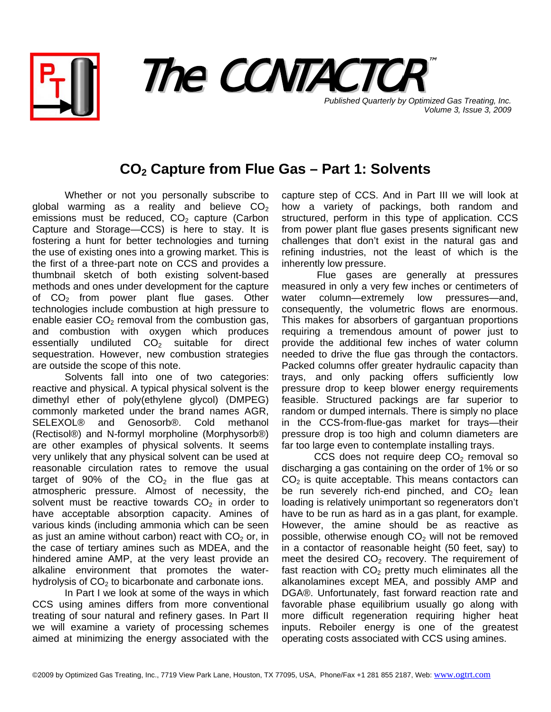



**Published Quarterly by Optimized Gas Treating, Inc.** *Volume 3, Issue 3, 2009*

## **CO2 Capture from Flue Gas – Part 1: Solvents**

Whether or not you personally subscribe to global warming as a reality and believe  $CO<sub>2</sub>$ emissions must be reduced,  $CO<sub>2</sub>$  capture (Carbon Capture and Storage—CCS) is here to stay. It is fostering a hunt for better technologies and turning the use of existing ones into a growing market. This is the first of a three-part note on CCS and provides a thumbnail sketch of both existing solvent-based methods and ones under development for the capture of  $CO<sub>2</sub>$  from power plant flue gases. Other technologies include combustion at high pressure to enable easier  $CO<sub>2</sub>$  removal from the combustion gas, and combustion with oxygen which produces essentially undiluted  $CO<sub>2</sub>$  suitable for direct sequestration. However, new combustion strategies are outside the scope of this note.

Solvents fall into one of two categories: reactive and physical. A typical physical solvent is the dimethyl ether of poly(ethylene glycol) (DMPEG) commonly marketed under the brand names AGR, SELEXOL® and Genosorb®. Cold methanol (Rectisol®) and N-formyl morpholine (Morphysorb®) are other examples of physical solvents. It seems very unlikely that any physical solvent can be used at reasonable circulation rates to remove the usual target of 90% of the  $CO<sub>2</sub>$  in the flue gas at atmospheric pressure. Almost of necessity, the solvent must be reactive towards  $CO<sub>2</sub>$  in order to have acceptable absorption capacity. Amines of various kinds (including ammonia which can be seen as just an amine without carbon) react with  $CO<sub>2</sub>$  or, in the case of tertiary amines such as MDEA, and the hindered amine AMP, at the very least provide an alkaline environment that promotes the waterhydrolysis of  $CO<sub>2</sub>$  to bicarbonate and carbonate ions.

In Part I we look at some of the ways in which CCS using amines differs from more conventional treating of sour natural and refinery gases. In Part II we will examine a variety of processing schemes aimed at minimizing the energy associated with the capture step of CCS. And in Part III we will look at how a variety of packings, both random and structured, perform in this type of application. CCS from power plant flue gases presents significant new challenges that don't exist in the natural gas and refining industries, not the least of which is the inherently low pressure.

 Flue gases are generally at pressures measured in only a very few inches or centimeters of water column—extremely low pressures—and, consequently, the volumetric flows are enormous. This makes for absorbers of gargantuan proportions requiring a tremendous amount of power just to provide the additional few inches of water column needed to drive the flue gas through the contactors. Packed columns offer greater hydraulic capacity than trays, and only packing offers sufficiently low pressure drop to keep blower energy requirements feasible. Structured packings are far superior to random or dumped internals. There is simply no place in the CCS-from-flue-gas market for trays—their pressure drop is too high and column diameters are far too large even to contemplate installing trays.

CCS does not require deep  $CO<sub>2</sub>$  removal so discharging a gas containing on the order of 1% or so  $CO<sub>2</sub>$  is quite acceptable. This means contactors can be run severely rich-end pinched, and  $CO<sub>2</sub>$  lean loading is relatively unimportant so regenerators don't have to be run as hard as in a gas plant, for example. However, the amine should be as reactive as possible, otherwise enough  $CO<sub>2</sub>$  will not be removed in a contactor of reasonable height (50 feet, say) to meet the desired  $CO<sub>2</sub>$  recovery. The requirement of fast reaction with  $CO<sub>2</sub>$  pretty much eliminates all the alkanolamines except MEA, and possibly AMP and DGA®. Unfortunately, fast forward reaction rate and favorable phase equilibrium usually go along with more difficult regeneration requiring higher heat inputs. Reboiler energy is one of the greatest operating costs associated with CCS using amines.